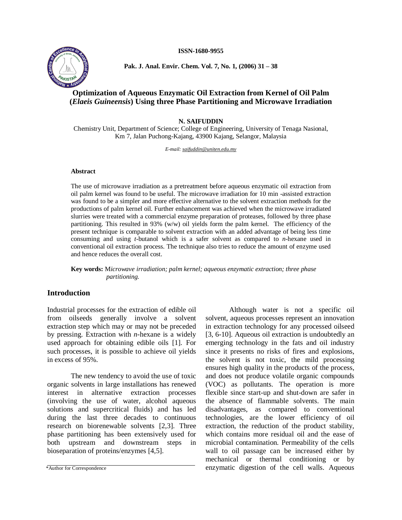**ISSN-1680-9955**



**Pak. J. Anal. Envir. Chem. Vol. 7, No. 1, (2006) 31 ñ 38**

# **Optimization of Aqueous Enzymatic Oil Extraction from Kernel of Oil Palm (***Elaeis Guineensis***) Using three Phase Partitioning and Microwave Irradiation**

**N. SAIFUDDIN**

Chemistry Unit, Department of Science; College of Engineering, University of Tenaga Nasional, Km 7, Jalan Puchong-Kajang, 43900 Kajang, Selangor, Malaysia

*E-mail: [saifuddin@uniten.edu.my](mailto:saifuddin@uniten.edu.my)*

### **Abstract**

The use of microwave irradiation as a pretreatment before aqueous enzymatic oil extraction from oil palm kernel was found to be useful. The microwave irradiation for 10 min -assisted extraction was found to be a simpler and more effective alternative to the solvent extraction methods for the productions of palm kernel oil. Further enhancement was achieved when the microwave irradiated slurries were treated with a commercial enzyme preparation of proteases, followed by three phase partitioning. This resulted in 93% (w/w) oil yields form the palm kernel. The efficiency of the present technique is comparable to solvent extraction with an added advantage of being less time consuming and using *t*-butanol which is a safer solvent as compared to *n*-hexane used in conventional oil extraction process. The technique also tries to reduce the amount of enzyme used and hence reduces the overall cost.

**Key words:** M*icrowave irradiation; palm kernel; aqueous enzymatic extraction; three phase partitioning.*

## **Introduction**

Industrial processes for the extraction of edible oil from oilseeds generally involve a solvent extraction step which may or may not be preceded by pressing. Extraction with *n*-hexane is a widely used approach for obtaining edible oils [1]. For such processes, it is possible to achieve oil yields in excess of 95%.

The new tendency to avoid the use of toxic organic solvents in large installations has renewed interest in alternative extraction processes (involving the use of water, alcohol aqueous solutions and supercritical fluids) and has led during the last three decades to continuous research on biorenewable solvents [2,3]. Three phase partitioning has been extensively used for both upstream and downstream steps in bioseparation of proteins/enzymes [4,5].

Although water is not a specific oil solvent, aqueous processes represent an innovation in extraction technology for any processed oilseed [3, 6-10]. Aqueous oil extraction is undoubtedly an emerging technology in the fats and oil industry since it presents no risks of fires and explosions, the solvent is not toxic, the mild processing ensures high quality in the products of the process, and does not produce volatile organic compounds (VOC) as pollutants. The operation is more flexible since start-up and shut-down are safer in the absence of flammable solvents. The main disadvantages, as compared to conventional technologies, are the lower efficiency of oil extraction, the reduction of the product stability, which contains more residual oil and the ease of microbial contamination. Permeability of the cells wall to oil passage can be increased either by mechanical or thermal conditioning or by \*Author for Correspondence enzymatic digestion of the cell walls. Aqueous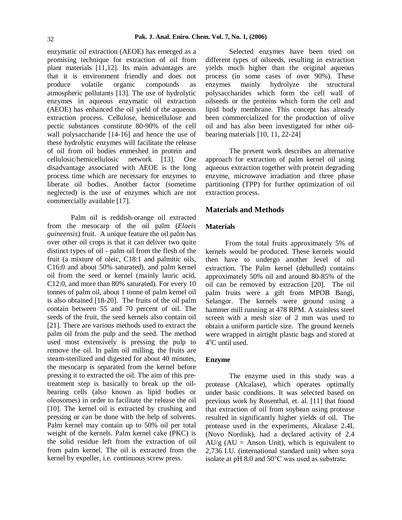enzymatic oil extraction (AEOE) has emerged as a promising technique for extraction of oil from plant materials [11,12]. Its main advantages are that it is environment friendly and does not produce volatile organic compounds as atmospheric pollutants [13]. The use of hydrolytic enzymes in aqueous enzymatic oil extraction (AEOE) has enhanced the oil yield of the aqueous extraction process. Cellulose, hemicellulose and pectic substances constitute 80-90% of the cell wall polysaccharide [14-16] and hence the use of these hydrolytic enzymes will facilitate the release of oil from oil bodies enmeshed in protein and cellulosic/hemicellulosic network [13]. One disadvantage associated with AEOE is the long process time which are necessary for enzymes to liberate oil bodies. Another factor (sometime neglected) is the use of enzymes which are not commercially available [17].

Palm oil is reddish-orange oil extracted from the mesocarp of the oil palm (*Elaeis guineensis*) fruit. A unique feature the oil palm has over other oil crops is that it can deliver two quite distinct types of oil - palm oil from the flesh of the fruit (a mixture of oleic, C18:1 and palmitic oils, C16:0 and about 50% saturated), and palm kernel oil from the seed or kernel (mainly lauric acid, C12:0, and more than 80% saturated). For every 10 tonnes of palm oil, about 1 tonne of palm kemel oil is also obtained [18-20]. The fruits of the oil palm contain between 55 and 70 percent of oil. The seeds of the fruit, the seed kernels also contain oil [21]. There are various methods used to extract the palm oil from the pulp and the seed. The method used most extensively is pressing the pulp to remove the oil. In palm oil milling, the fruits are steam-sterilized and digested for about 40 minutes, the mesocarp is separated from the kernel before pressing it to extracted the oil. The aim of this pretreatment step is basically to break up the oil bearing cells (also known as lipid bodies or oleosomes) in order to facilitate the release the oil [10]. The kernel oil is extracted by crushing and pressing or can be done with the help of solvents. Palm kernel may contain up to 50% oil per total weight of the kernels. Palm kernel cake (PKC) is the solid residue left from the extraction of oil from palm kernel. The oil is extracted from the kernel by expeller, i.e. continuous screw press.

Selected enzymes have been tried on different types of oilseeds, resulting in extraction yields much higher than the original aqueous process (in some cases of over 90%). These mainly hydrolyze the structural polysaccharides which form the cell wall of oilseeds or the proteins which form the cell and lipid body membrane. This concept has already been commercialized for the production of olive oil and has also been investigated for other oil bearing materials [10, 11, 22-24]

The present work describes an alternative approach for extraction of palm kernel oil using aqueous extraction together with protein degrading enzyme, microwave irradiation and three phase partitioning (TPP) for further optimization of oil extraction process.

## **Materials and Methods**

#### **Materials**

From the total fruits approximately 5% of kernels would be produced. These kernels would then have to undergo another level of oil extraction. The Palm kernel (dehulled) contains approximately 50% oil and around 80-85% of the oil can be removed by extraction [20]. The oil palm fruits were a gift from MPOB Bangi, Selangor. The kernels were ground using a hammer mill running at 478 RPM. A stainless steel screen with a mesh size of 2 mm was used to obtain a uniform particle size. The ground kernels were wrapped in airtight plastic bags and stored at 4 <sup>o</sup>C until used.

#### **Enzyme**

The enzyme used in this study was a protease (Alcalase), which operates optimally under basic conditions. It was selected based on previous work by Rosenthal, et. al. [11] that found that extraction of oil from soybean using protease resulted in significantly higher yields of oil. The protease used in the experiments, Alcalase 2.4L (Novo Nordisk), had a declared activity of 2.4  $AU/g$  (AU = Anson Unit), which is equivalent to 2,736 I.U. (international standard unit) when soya isolate at pH 8.0 and 50°C was used as substrate.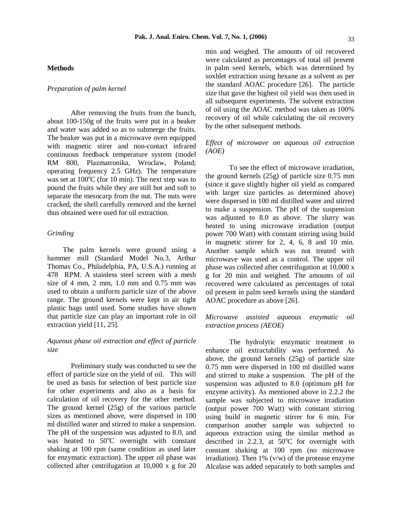#### **Methods**

### *Preparation of palm kernel*

After removing the fruits from the bunch, about 100-150g of the fruits were put in a beaker and water was added so as to submerge the fruits. The beaker was put in a microwave oven equipped with magnetic stirer and non-contact infrared continuous feedback temperature system (model RM 800, Plazmatronika, Wroclaw, Poland; operating frequency 2.5 GHz). The temperature was set at 100<sup>o</sup>C (for 10 min). The next step was to pound the fruits while they are still hot and soft to separate the mesocarp from the nut. The nuts were cracked, the shell carefully removed and the kernel thus obtained were used for oil extraction.

## *Grinding*

The palm kernels were ground using a hammer mill (Standard Model No.3, Arthur Thomas Co., Philadelphia, PA, U.S.A.) running at 478 RPM. A stainless steel screen with a mesh size of 4 mm, 2 mm,  $1.0$  mm and  $0.75$  mm was used to obtain a uniform particle size of the above range. The ground kernels were kept in air tight plastic bags until used. Some studies have shown that particle size can play an important role in oil extraction yield [11, 25].

## *Aqueous phase oil extraction and ef ect of particle size*

Preliminary study was conducted to see the effect of particle size on the yield of oil. This will be used as basis for selection of best particle size for other experiments and also as a basis for calculation of oil recovery for the other method. The ground kernel (25g) of the various particle sizes as mentioned above, were dispersed in 100 ml distilled water and stirred to make a suspension. The pH of the suspension was adjusted to 8.0, and was heated to 50°C overnight with constant shaking at 100 rpm (same condition as used later for enzymatic extraction). The upper oil phase was collected after centrifugation at 10,000 x g for 20

min and weighed. The amounts of oil recovered were calculated as percentages of total oil present in palm seed kernels, which was determined by soxhlet extraction using hexane as a solvent as per the standard AOAC procedure [26]. The particle size that gave the highest oil yield was then used in all subsequent experiments. The solvent extraction of oil using the AOAC method was taken as 100% recovery of oil while calculating the oil recovery by the other subsequent methods.

## *Ef ect of microwave on aqueous oil extraction (AOE)*

To see the effect of microwave irradiation, the ground kernels (25g) of particle size 0.75 mm (since it gave slightly higher oil yield as compared with larger size particles as determined above) were dispersed in 100 ml distilled water and stirred to make a suspension. The  $pH$  of the suspension was adjusted to 8.0 as above. The slurry was heated to using microwave irradiation (output power 700 Watt) with constant stirring using build in magnetic stirrer for 2, 4, 6, 8 and 10 min. Another sample which was not treated with microwave was used as a control. The upper oil phase was collected after centrifugation at 10,000 x g for 20 min and weighed. The amounts of oil recovered were calculated as percentages of total oil present in palm seed kernels using the standard AOAC procedure as above [26].

## *Microwave assisted aqueous enzymatic oil extraction process (AEOE)*

The hydrolytic enzymatic treatment to enhance oil extractability was performed. As above, the ground kernels (25g) of particle size 0.75 mm were dispersed in 100 ml distilled water and stirred to make a suspension. The pH of the suspension was adjusted to 8.0 (optimum pH for enzyme activity). As mentioned above in 2.2.2 the sample was subjected to microwave irradiation (output power 700 Watt) with constant stirring using build in magnetic stirrer for 6 min. For comparison another sample was subjected to aqueous extraction using the similar method as described in 2.2.3, at  $50^{\circ}$ C for overnight with constant shaking at 100 rpm (no microwave irradiation). Then  $1\%$  (v/w) of the protease enzyme Alcalase was added separately to both samples and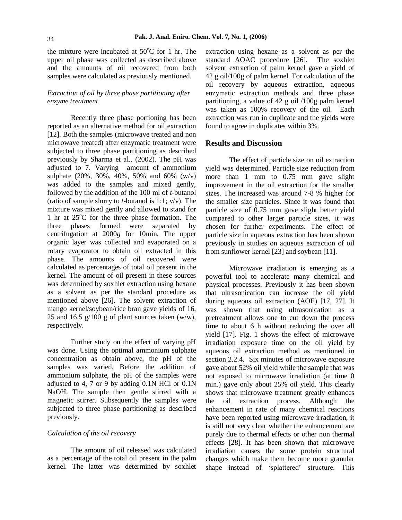the mixture were incubated at  $50^{\circ}$ C for 1 hr. The upper oil phase was collected as described above and the amounts of oil recovered from both samples were calculated as previously mentioned.

## *Extraction of oil by three phase partitioning after enzyme treatment*

Recently three phase portioning has been reported as an alternative method for oil extraction [12]. Both the samples (microwave treated and non microwave treated) after enzymatic treatment were subjected to three phase partitioning as described previously by Sharma et al., (2002). The pH was adjusted to 7. Varying amount of ammonium sulphate (20%, 30%, 40%, 50% and 60% (w/v) was added to the samples and mixed gently, followed by the addition of the 100 ml of *t*-butanol (ratio of sample slurry to *t*-butanol is 1:1; v/v). The mixture was mixed gently and allowed to stand for 1 hr at  $25^{\circ}$ C for the three phase formation. The three phases formed were separated by centrifugation at 2000*g* for 10min. The upper organic layer was collected and evaporated on a rotary evaporator to obtain oil extracted in this phase. The amounts of oil recovered were calculated as percentages of total oil present in the kernel. The amount of oil present in these sources was determined by soxhlet extraction using hexane as a solvent as per the standard procedure as mentioned above [26]. The solvent extraction of mango kernel/soybean/rice bran gave yields of 16, 25 and 16.5  $g/100$  g of plant sources taken (w/w), respectively.

Further study on the effect of varying pH was done. Using the optimal ammonium sulphate concentration as obtain above, the pH of the samples was varied. Before the addition of ammonium sulphate, the pH of the samples were adjusted to 4, 7 or 9 by adding 0.1N HCl or 0.1N NaOH. The sample then gentle stirred with a magnetic stirrer. Subsequently the samples were subjected to three phase partitioning as described previously.

### *Calculation of the oil recovery*

The amount of oil released was calculated as a percentage of the total oil present in the palm kernel. The latter was determined by soxhlet extraction using hexane as a solvent as per the standard AOAC procedure [26]. The soxhlet solvent extraction of palm kernel gave a yield of 42 g oil/100g of palm kernel. For calculation of the oil recovery by aqueous extraction, aqueous enzymatic extraction methods and three phase partitioning, a value of 42 g oil /100g palm kernel was taken as 100% recovery of the oil. Each extraction was run in duplicate and the yields were found to agree in duplicates within 3%.

### **Results and Discussion**

The effect of particle size on oil extraction yield was determined. Particle size reduction from more than 1 mm to 0.75 mm gave slight improvement in the oil extraction for the smaller sizes. The increased was around 7-8 % higher for the smaller size particles. Since it was found that particle size of 0.75 mm gave slight better yield compared to other larger particle sizes, it was chosen for further experiments. The effect of particle size in aqueous extraction has been shown previously in studies on aqueous extraction of oil from sunflower kernel [23] and soybean [11].

Microwave irradiation is emerging as a powerful tool to accelerate many chemical and physical processes. Previously it has been shown that ultrasonication can increase the oil yield during aqueous oil extraction (AOE) [17, 27]. It was shown that using ultrasonication as a pretreatment allows one to cut down the process time to about 6 h without reducing the over all yield [17]. Fig. 1 shows the effect of microwave irradiation exposure time on the oil yield by aqueous oil extraction method as mentioned in section 2.2.4. Six minutes of microwave exposure gave about 52% oil yield while the sample that was not exposed to microwave irradiation (at time 0 min.) gave only about 25% oil yield. This clearly shows that microwave treatment greatly enhances the oil extraction process. Although the enhancement in rate of many chemical reactions have been reported using microwave irradiation, it is still not very clear whether the enhancement are purely due to thermal effects or other non thermal effects [28]. It has been shown that microwave irradiation causes the some protein structural changes which make them become more granular shape instead of 'splattered' structure. This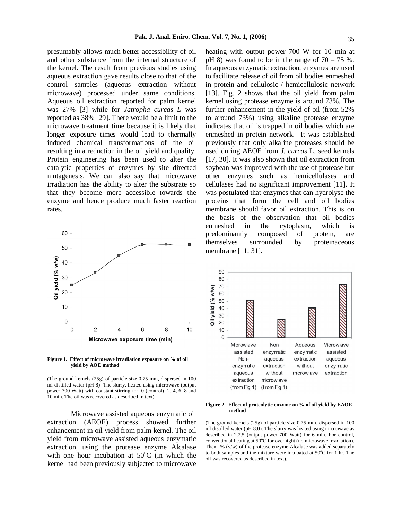presumably allows much better accessibility of oil and other substance from the internal structure of the kernel. The result from previous studies using aqueous extraction gave results close to that of the control samples (aqueous extraction without microwave) processed under same conditions. Aqueous oil extraction reported for palm kernel was 27% [3] while for *Jatropha curcas L* was reported as 38% [29]. There would be a limit to the microwave treatment time because it is likely that longer exposure times would lead to thermally induced chemical transformations of the oil resulting in a reduction in the oil yield and quality. Protein engineering has been used to alter the catalytic properties of enzymes by site directed mutagenesis. We can also say that microwave irradiation has the ability to alter the substrate so that they become more accessible towards the enzyme and hence produce much faster reaction rates.



**Figure 1. Effect of microwave irradiation exposure on % of oil yield by AOE method**

(The ground kernels (25g) of particle size 0.75 mm, dispersed in 100 ml distilled water ( $pH_8$ ) The slurry, heated using microwave (output power 700 Watt) with constant stirring for 0 (control) 2, 4, 6, 8 and 10 min. The oil was recovered as described in text).

Microwave assisted aqueous enzymatic oil extraction (AEOE) process showed further enhancement in oil yield from palm kernel. The oil yield from microwave assisted aqueous enzymatic extraction, using the protease enzyme Alcalase with one hour incubation at  $50^{\circ}$ C (in which the kernel had been previously subjected to microwave

heating with output power 700 W for 10 min at pH 8) was found to be in the range of  $70 - 75$  %. In aqueous enzymatic extraction, enzymes are used to facilitate release of oil from oil bodies enmeshed in protein and cellulosic / hemicellulosic network [13]. Fig. 2 shows that the oil yield from palm kernel using protease enzyme is around 73%. The further enhancement in the yield of oil (from 52% to around 73%) using alkaline protease enzyme indicates that oil is trapped in oil bodies which are enmeshed in protein network. It was established previously that only alkaline proteases should be used during AEOE from *J. curcas* L. seed kernels [17, 30]. It was also shown that oil extraction from soybean was improved with the use of protease but other enzymes such as hemicellulases and cellulases had no significant improvement [11]. It was postulated that enzymes that can hydrolyse the proteins that form the cell and oil bodies membrane should favor oil extraction. This is on the basis of the observation that oil bodies enmeshed in the cytoplasm, which is predominantly composed of protein, are themselves surrounded by proteinaceous membrane [11, 31].



#### **Figure 2. Effect of proteolytic enzyme on % of oil yield by EAOE method**

(The ground kernels (25g) of particle size 0.75 mm, dispersed in 100 ml distilled water (pH 8.0). The slurry was heated using microwave as described in 2.2.5 (output power 700 Watt) for 6 min. For control, conventional heating at  $50^{\circ}$ C for overnight (no microwave irradiation). Then 1% (v/w) of the protease enzyme Alcalase was added separately to both samples and the mixture were incubated at 50°C for 1 hr. The oil was recovered as described in text).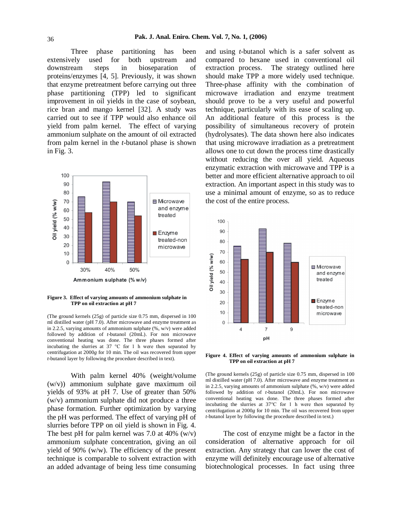Three phase partitioning has been extensively used for both upstream and downstream steps in bioseparation of proteins/enzymes [4, 5]. Previously, it was shown that enzyme pretreatment before carrying out three phase partitioning (TPP) led to significant improvement in oil yields in the case of soybean, rice bran and mango kernel [32]. A study was carried out to see if TPP would also enhance oil yield from palm kernel. The effect of varying ammonium sulphate on the amount of oil extracted from palm kernel in the *t*-butanol phase is shown in Fig. 3.



**Figure 3. Effect of varying amounts of ammonium sulphate in TPP on oil extraction at pH 7**

(The ground kernels (25g) of particle size 0.75 mm, dispersed in 100 ml distilled water (pH 7.0). After microwave and enzyme treatment as in 2.2.5, varying amounts of ammonium sulphate (%, w/v) were added followed by addition of *t*-butanol (20mL). For non microwave conventional heating was done. The three phases formed after incubating the slurries at 37 °C for 1 h were then separated by centrifugation at 2000*g* for 10 min. The oil was recovered from upper *t*-butanol layer by following the procedure described in text).

With palm kernel 40% (weight/volume (w/v)) ammonium sulphate gave maximum oil yields of 93% at pH 7. Use of greater than 50% (w/v) ammonium sulphate did not produce a three phase formation. Further optimization by varying the pH was performed. The effect of varying pH of slurries before TPP on oil yield is shown in Fig. 4. The best pH for palm kernel was 7.0 at 40%  $(w/v)$ ammonium sulphate concentration, giving an oil yield of 90% (w/w). The efficiency of the present technique is comparable to solvent extraction with an added advantage of being less time consuming and using *t*-butanol which is a safer solvent as compared to hexane used in conventional oil extraction process. The strategy outlined here should make TPP a more widely used technique. Three-phase affinity with the combination of microwave irradiation and enzyme treatment should prove to be a very useful and powerful technique, particularly with its ease of scaling up. An additional feature of this process is the possibility of simultaneous recovery of protein (hydrolysates). The data shown here also indicates that using microwave irradiation as a pretreatment allows one to cut down the process time drastically without reducing the over all yield. Aqueous enzymatic extraction with microwave and TPP is a better and more efficient alternative approach to oil extraction. An important aspect in this study was to use a minimal amount of enzyme, so as to reduce the cost of the entire process.



**Figure 4. Effect of varying amounts of ammonium sulphate in TPP on oil extraction at pH 7**

(The ground kernels (25g) of particle size 0.75 mm, dispersed in 100 ml distilled water (pH 7.0). After microwave and enzyme treatment as in 2.2.5, varying amounts of ammonium sulphate (%, w/v) were added followed by addition of *t*-butanol (20mL). For non microwave conventional heating was done. The three phases formed after incubating the slurries at 37°C for 1 h were then separated by centrifugation at 2000*g* for 10 min. The oil was recovered from upper *t*-butanol layer by following the procedure described in text.)

The cost of enzyme might be a factor in the consideration of alternative approach for oil extraction. Any strategy that can lower the cost of enzyme will definitely encourage use of alternative biotechnological processes. In fact using three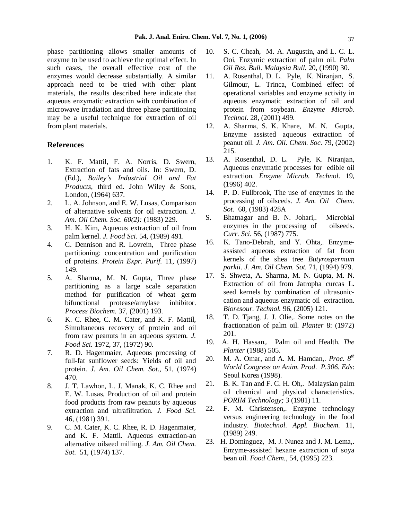phase partitioning allows smaller amounts of enzyme to be used to achieve the optimal effect. In such cases, the overall effective cost of the enzymes would decrease substantially. A similar approach need to be tried with other plant materials, the results described here indicate that aqueous enzymatic extraction with combination of microwave irradiation and three phase partitioning may be a useful technique for extraction of oil from plant materials.

## **References**

- 1. K. F. Mattil, F. A. Norris, D. Swern, Extraction of fats and oils. In: Swern, D. (Ed.), *Baileyís Industrial Oil and Fat Products*, third ed. John Wiley & Sons, London, (1964) 637.
- 2. L. A. Johnson, and E. W. Lusas, Comparison of alternative solvents for oil extraction. *J. Am. Oil Chem. Soc. 60(2):* (1983) 229.
- 3. H. K. Kim, Aqueous extraction of oil from palm kernel. *J. Food Sci.* 54, (1989) 491.
- 4. C. Dennison and R. Lovrein, Three phase  $16$ . partitioning: concentration and purification of proteins. *Protein Expr. Purif.* 11, (1997) 149.
- 5. A. Sharma, M. N. Gupta, Three phase partitioning as a large scale separation method for purification of wheat germ bifunctional protease/amylase inhibitor. *Process Biochem.* 37, (2001) 193.
- 6. K. C. Rhee, C. M. Cater, and K. F. Mattil, Simultaneous recovery of protein and oil from raw peanuts in an aqueous system. *J. Food Sci.* 1972, 37, (1972) 90.
- 7. R. D. Hagenmaier, Aqueous processing of full-fat sunflower seeds: Yields of oil and 20. protein. *J. Am. Oil Chem. Sot.,* 51, (1974) 470.
- 8. J. T. Lawhon, L. J. Manak, K. C. Rhee and  $21$ . E. W. Lusas, Production of oil and protein food products from raw peanuts by aqueous<br>extraction and ultrafiltration  $I_{Edd}$  Sec. 22. extraction and ultrafiltration. *J. Food Sci.* 46, (1981) 391.
- 9. C. M. Cater, K. C. Rhee, R. D. Hagenmaier, and K. F. Mattil. Aqueous extraction-an alternative oilseed milling. *J. Am. Oil Chem. Sot.* 51*,* (1974) 137.
- 10. S. C. Cheah, M. A. Augustin, and L. C. L. Ooi, Enzymic extraction of palm oil. *Palm Oil Res. Bull. Malaysia Bull.* 20, (1990) 30.
- 11. A. Rosenthal, D. L. Pyle, K. Niranjan, S. Gilmour, L. Trinca, Combined effect of operational variables and enzyme activity in aqueous enzymatic extraction of oil and protein from soybean. *Enzyme Microb. Technol.* 28*,* (2001) 499.
- 12. A. Sharma, S. K. Khare, M. N. Gupta, Enzyme assisted aqueous extraction of peanut oil. *J. Am. Oil. Chem. Soc.* 79, (2002) 215.
- 13. A. Rosenthal, D. L. Pyle, K. Niranjan, Aqueous enzymatic processes for edible oil extraction. *Enzyme Microb. Technol.* 19, (1996) 402.
- 14. P. D. Fullbrook, The use of enzymes in the processing of oilsceds. *J. Am. Oil Chem. Sot.* 60, (1983) 428A
- S. Bhatnagar and B. N. Johari,. Microbial enzymes in the processing of oilseeds. *Curr. Sci.* 56, (1987) 775.
- 16. K. Tano-Debrah, and Y. Ohta,. Enzyme assisted aqueous extraction of fat from kernels of the shea tree *Butyrospermum parkii. J. Am. Oil Chem. Sot.* 71, (1994) 979.
- 17. S. Shweta, A. Sharma, M. N. Gupta, M. N. Extraction of oil from Jatropha curcas L. seed kernels by combination of ultrasonic cation and aqueous enzymatic oil extraction. *Bioresour. Technol.* 96, (2005) 121.
- 18. T. D. Tjang, J. J. Olie,. Some notes on the fractionation of palm oil.*Planter* 8: (1972) 201.
- 19. A. H. Hassan,. Palm oiland Health. *The Planter* (1988) 505.
- 20. M. A. Omar, and A. M. Hamdan,. *Proc. 8 th World Congress on Anim. Prod*. *P.306. Eds*: Seoul Korea (1998).
- B. K. Tan and F. C. H. Oh,. Malaysian palm oil chemical and physical characteristics. *PORIM Technology;* 3 (1981) 11*.*
- F. M. Christensen,. Enzyme technology versus engineering technology in the food industry. *Biotechnol. Appl. Biochem.* 11, (1989) 249.
- 23. H. Dominguez, M. J. Nunez and J. M. Lema,. Enzyme-assisted hexane extraction of soya bean oil. *Food Chem.,* 54, (1995) 223.